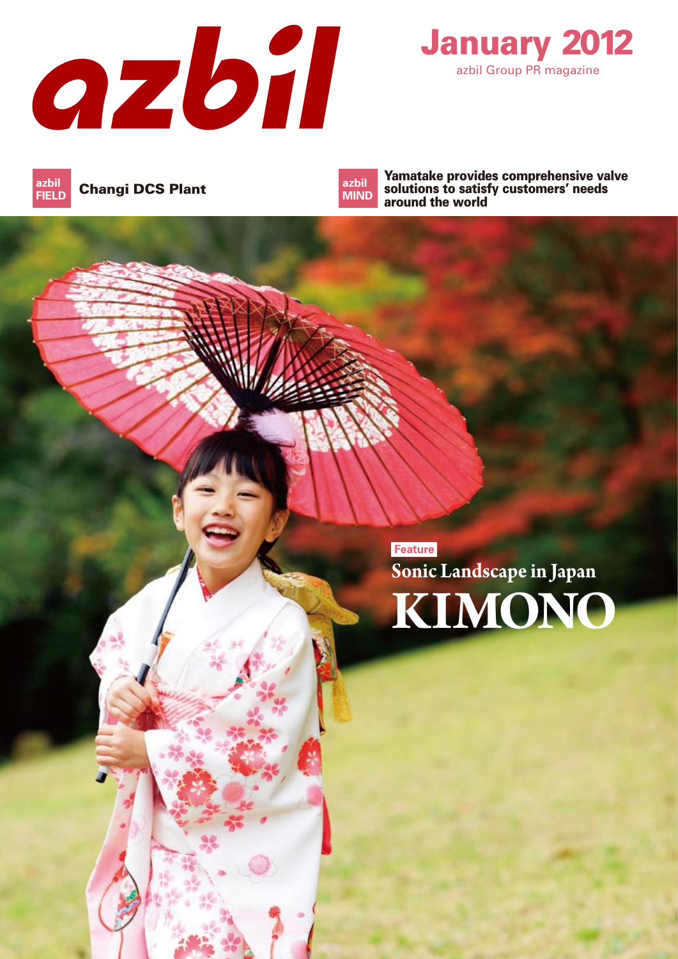



Changi DCS Plant **azbil FIELD**

**azbil MIND**

Yamatake provides comprehensive valve solutions to satisfy customers' needs around the world

**Feature KIMONO Sonic Landscape in Japan**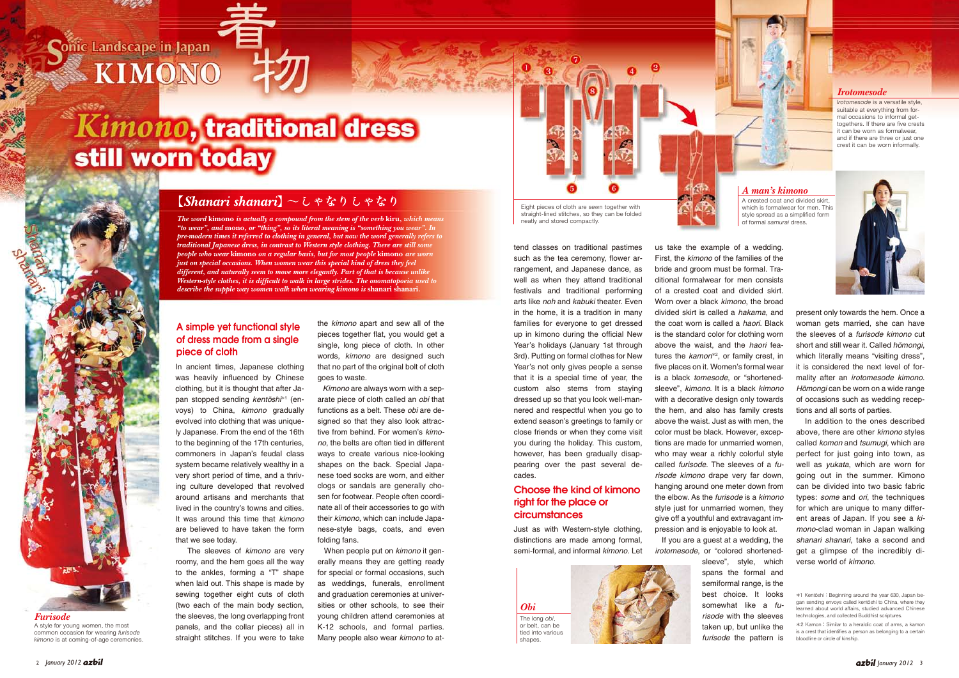## Conic Landscape in Japan KIMONO

# Kimono, traditional dress still worn today

tend classes on traditional pastimes such as the tea ceremony, flower arrangement, and Japanese dance, as well as when they attend traditional festivals and traditional performing arts like *noh* and *kabuki* theater. Even in the home, it is a tradition in many families for everyone to get dressed up in kimono during the official New Year's holidays (January 1st through 3rd). Putting on formal clothes for New Year's not only gives people a sense that it is a special time of year, the custom also stems from staying dressed up so that you look well-mannered and respectful when you go to extend season's greetings to family or close friends or when they come visit you during the holiday. This custom, however, has been gradually disappearing over the past several decades.

Just as with Western-style clothing, distinctions are made among formal, semi-formal, and informal *kimono*. Let us take the example of a wedding. First, the *kimono* of the families of the bride and groom must be formal. Traditional formalwear for men consists of a crested coat and divided skirt. Worn over a black *kimono*, the broad divided skirt is called a *hakama*, and the coat worn is called a *haori*. Black is the standard color for clothing worn above the waist, and the *haori* features the *kamon*\*<sup>2</sup> , or family crest, in five places on it. Women's formal wear is a black *tomesode*, or "shortenedsleeve", *kimono*. It is a black *kimono* with a decorative design only towards the hem, and also has family crests above the waist. Just as with men, the color must be black. However, exceptions are made for unmarried women, who may wear a richly colorful style called *furisode*. The sleeves of a *furisode kimono* drape very far down, hanging around one meter down from



the elbow. As the *furisode* is a *kimono* style just for unmarried women, they give off a youthful and extravagant impression and is enjoyable to look at. If you are a guest at a wedding, the *irotomesode*, or "colored shortenedsleeve", style, which spans the formal and semiformal range, is the best choice. It looks somewhat like a *furisode* with the sleeves taken up, but unlike the *furisode* the pattern is





the *kimono* apart and sew all of the pieces together flat, you would get a single, long piece of cloth. In other words, *kimono* are designed such that no part of the original bolt of cloth goes to waste.

 *Kimono* are always worn with a separate piece of cloth called an *obi* that functions as a belt. These *obi* are designed so that they also look attractive from behind. For women's *kimono*, the belts are often tied in different ways to create various nice-looking shapes on the back. Special Japanese toed socks are worn, and either clogs or sandals are generally chosen for footwear. People often coordinate all of their accessories to go with their *kimono*, which can include Japanese-style bags, coats, and even folding fans.

 When people put on *kimono* it generally means they are getting ready for special or formal occasions, such as weddings, funerals, enrollment and graduation ceremonies at universities or other schools, to see their young children attend ceremonies at K-12 schools, and formal parties. Many people also wear *kimono* to at-

which is formalwear for men. This style spread as a simplified form of formal *samurai* dress.

In ancient times, Japanese clothing was heavily influenced by Chinese clothing, but it is thought that after Japan stopped sending *kentōshi*\*1 (envoys) to China, *kimono* gradually evolved into clothing that was uniquely Japanese. From the end of the 16th to the beginning of the 17th centuries, commoners in Japan's feudal class system became relatively wealthy in a very short period of time, and a thriving culture developed that revolved around artisans and merchants that lived in the country's towns and cities. It was around this time that *kimono* are believed to have taken the form that we see today.

 The sleeves of *kimono* are very roomy, and the hem goes all the way to the ankles, forming a "T" shape when laid out. This shape is made by sewing together eight cuts of cloth (two each of the main body section, the sleeves, the long overlapping front panels, and the collar pieces) all in straight stitches. If you were to take

present only towards the hem. Once a woman gets married, she can have the sleeves of a *furisode kimono* cut short and still wear it. Called *homongi*, which literally means "visiting dress", it is considered the next level of formality after an *irotomesode kimono*. *Hōmongi* can be worn on a wide range of occasions such as wedding receptions and all sorts of parties.

 In addition to the ones described above, there are other *kimono* styles called *komon* and *tsumugi*, which are perfect for just going into town, as well as *yukata*, which are worn for going out in the summer. Kimono can be divided into two basic fabric types: *some* and *ori*, the techniques for which are unique to many different areas of Japan. If you see a *kimono*-clad woman in Japan walking *shanari shanari*, take a second and get a glimpse of the incredibly diverse world of *kimono*.



A style for young women, the most common occasion for wearing *furisode kimono* is at coming-of-age ceremonies.

## Choose the kind of kimono right for the place or circumstances

[Shanari shanari]  $\sim$  L &  $\&$  l L &  $\&$  l

*The word* **kimono** *is actually a compound from the stem of the verb* **kiru***, which means "to wear", and* **mono***, or "thing", so its literal meaning is "something you wear". In pre-modern times it referred to clothing in general, but now the word generally refers to traditional Japanese dress, in contrast to Western style clothing. There are still some people who wear* **kimono** *on a regular basis, but for most people* **kimono** *are worn just on special occasions. When women wear this special kind of dress they feel different, and naturally seem to move more elegantly. Part of that is because unlike Western-style clothes, it is difficult to walk in large strides. The onomatopoeia used to describe the supple way women walk when wearing kimono is* **shanari shanari***.*

## A simple yet functional style of dress made from a single piece of cloth

*Irotomesode* is a versatile style, suitable at everything from formal occasions to informal gettogethers. If there are five crests it can be worn as formalwear, and if there are three or just one crest it can be worn informally.

## A crested coat and divided skirt, *A man's kimono*



### *Irotomesode*



<sup>\*1</sup> Kentōshi: Beginning around the year 630, Japan began sending envoys called kentoshi to China, where they learned about world affairs, studied advanced Chinese technologies, and collected Buddhist scriptures.

<sup>\*2</sup> Kamon:Similar to a heraldic coat of arms, a kamon is a crest that identifies a person as belonging to a certain bloodline or circle of kinship.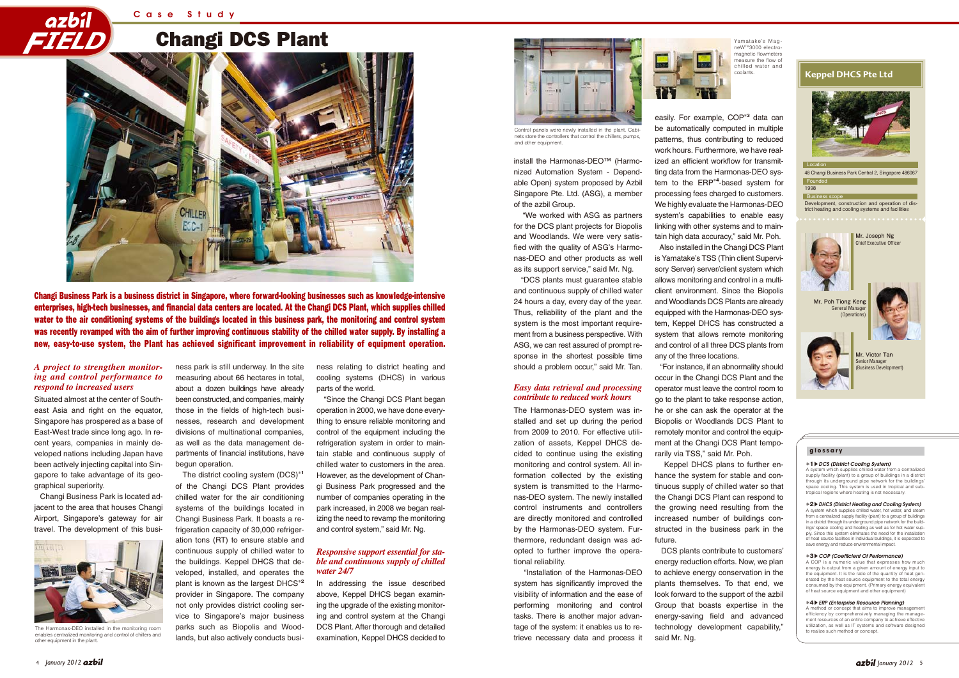## Changi DCS Plant



48 Changi Business Park Central 2, Singapore 486067  $Foun$ 

Changi Business Park is a business district in Singapore, where forward-looking businesses such as knowledge-intensive enterprises, high-tech businesses, and financial data centers are located. At the Changi DCS Plant, which supplies chilled water to the air conditioning systems of the buildings located in this business park, the monitoring and control system was recently revamped with the aim of further improving continuous stability of the chilled water supply. By installing a new, easy-to-use system, the Plant has achieved significant improvement in reliability of equipment operation.

#### Location



Development, construction and operation of district heating and cooling systems and facilities Business scope







**Mr. Joseph Ng** Chief Executive Officer





**Mr. Victor Tan** Senior Manager (Business Development)

install the Harmonas-DEO™ (Harmonized Automation System - Dependable Open) system proposed by Azbil Singapore Pte. Ltd. (ASG), a member of the azbil Group.

 "Installation of the Harmonas-DEO system has significantly improved the visibility of information and the ease of performing monitoring and control tasks. There is another major advantage of the system: it enables us to retrieve necessary data and process it The Harmonas-DEO installed in the monitoring room **parks such as Biopolis and Wood-** DCS Plant. After thorough and detailed tage of the system: it enables us to re- technology development capability," and the monitoring ro



 "We worked with ASG as partners for the DCS plant projects for Biopolis and Woodlands. We were very satisfied with the quality of ASG's Harmonas-DEO and other products as well as its support service," said Mr. Ng.

 "DCS plants must guarantee stable and continuous supply of chilled water 24 hours a day, every day of the year. Thus, reliability of the plant and the system is the most important requirement from a business perspective. With ASG, we can rest assured of prompt response in the shortest possible time should a problem occur," said Mr. Tan.

The Harmonas-DEO system was installed and set up during the period from 2009 to 2010. For effective utilization of assets, Keppel DHCS decided to continue using the existing monitoring and control system. All information collected by the existing system is transmitted to the Harmonas-DEO system. The newly installed control instruments and controllers are directly monitored and controlled by the Harmonas-DEO system. Furthermore, redundant design was adopted to further improve the operational reliability.

easily. For example, COP**\*3** data can be automatically computed in multiple patterns, thus contributing to reduced work hours. Furthermore, we have realized an efficient workflow for transmitting data from the Harmonas-DEO system to the ERP**\*4**-based system for processing fees charged to customers. We highly evaluate the Harmonas-DEO system's capabilities to enable easy linking with other systems and to main-

tain high data accuracy," said Mr. Poh. Also installed in the Changi DCS Plant is Yamatake's TSS (Thin client Supervisory Server) server/client system which allows monitoring and control in a multiclient environment. Since the Biopolis and Woodlands DCS Plants are already equipped with the Harmonas-DEO system, Keppel DHCS has constructed a system that allows remote monitoring and control of all three DCS plants from any of the three locations.

 "For instance, if an abnormality should occur in the Changi DCS Plant and the operator must leave the control room to go to the plant to take response action, he or she can ask the operator at the Biopolis or Woodlands DCS Plant to remotely monitor and control the equipment at the Changi DCS Plant temporarily via TSS," said Mr. Poh.

> A system which supplies chilled water from a centralized supply facility (plant) to a group of buildings in a district through its underground pipe network for the buildings' space cooling. This system is used in tropical and subtropical regions where heating is not necessary.

 Keppel DHCS plans to further enhance the system for stable and continuous supply of chilled water so that the Changi DCS Plant can respond to the growing need resulting from the increased number of buildings constructed in the business park in the future.

A system which supplies chilled water, hot water from a centralized supply facility (plant) to a group of buildings in a district through its underground pipe network for the buildings' space cooling and heating as well as for hot water sup-ply. Since this system eliminates the need for the installation of heat source facilities in individual buildings, it is expected to save energy and reduce environmental impact.

 DCS plants contribute to customers' energy reduction efforts. Now, we plan to achieve energy conservation in the plants themselves. To that end, we look forward to the support of the azbil Group that boasts expertise in the energy-saving field and advanced technology development capability," said Mr. Ng.



A method or concept that aims to improve management efficiency by comprehensively managing the management resources of an entire company to achieve effective utilization, as well as IT systems and software designed

Situated almost at the center of Southeast Asia and right on the equator, Singapore has prospered as a base of East-West trade since long ago. In recent years, companies in mainly developed nations including Japan have been actively injecting capital into Singapore to take advantage of its geographical superiority.

 Changi Business Park is located adjacent to the area that houses Changi Airport, Singapore's gateway for air travel. The development of this business park is still underway. In the site measuring about 66 hectares in total, about a dozen buildings have already been constructed, and companies, mainly those in the fields of high-tech businesses, research and development divisions of multinational companies, as well as the data management departments of financial institutions, have begun operation.

 The district cooling system (DCS)**\*1** of the Changi DCS Plant provides chilled water for the air conditioning systems of the buildings located in Changi Business Park. It boasts a refrigeration capacity of 30,000 refrigeration tons (RT) to ensure stable and continuous supply of chilled water to the buildings. Keppel DHCS that developed, installed, and operates the plant is known as the largest DHCS**\*2** provider in Singapore. The company not only provides district cooling service to Singapore's major business lands, but also actively conducts business relating to district heating and cooling systems (DHCS) in various parts of the world.

 "Since the Changi DCS Plant began operation in 2000, we have done everything to ensure reliable monitoring and control of the equipment including the refrigeration system in order to maintain stable and continuous supply of chilled water to customers in the area. However, as the development of Changi Business Park progressed and the number of companies operating in the park increased, in 2008 we began realizing the need to revamp the monitoring and control system," said Mr. Ng.

In addressing the issue described above, Keppel DHCS began examining the upgrade of the existing monitoring and control system at the Changi DCS Plant. After thorough and detailed examination, Keppel DHCS decided to

### *A project to strengthen monitoring and control performance to respond to increased users*

## *Responsive support essential for stable and continuous supply of chilled water 24/7*

## *Easy data retrieval and processing contribute to reduced work hours*



Control panels were newly installed in the plant. Cabinets store the controllers that control the chillers, pumps, and other equipment.

Yamatake's MagneWTM3000 electromagnetic flowmeters measure the flow of chilled water and coolants.

#### **glossary**

#### **\*1**s*DCS (District Cooling System)*

#### **\*2**s*DHCS (District Heating and Cooling System)*

#### **\*3**s*COP (Coefficient Of Performance)*

A COP is a numeric value that expresses how much energy is output from a given amount of energy input to the equipment. It is the ratio of the quantity of heat generated by the heat source equipment to the total energy consumed by the equipment. (Primary energy equivalents) of heat source equipment and other equipment)

#### **\*4**s*ERP (Enterprise Resource Planning)*



enables centralized monitoring and control of chillers and other equipment in the plant.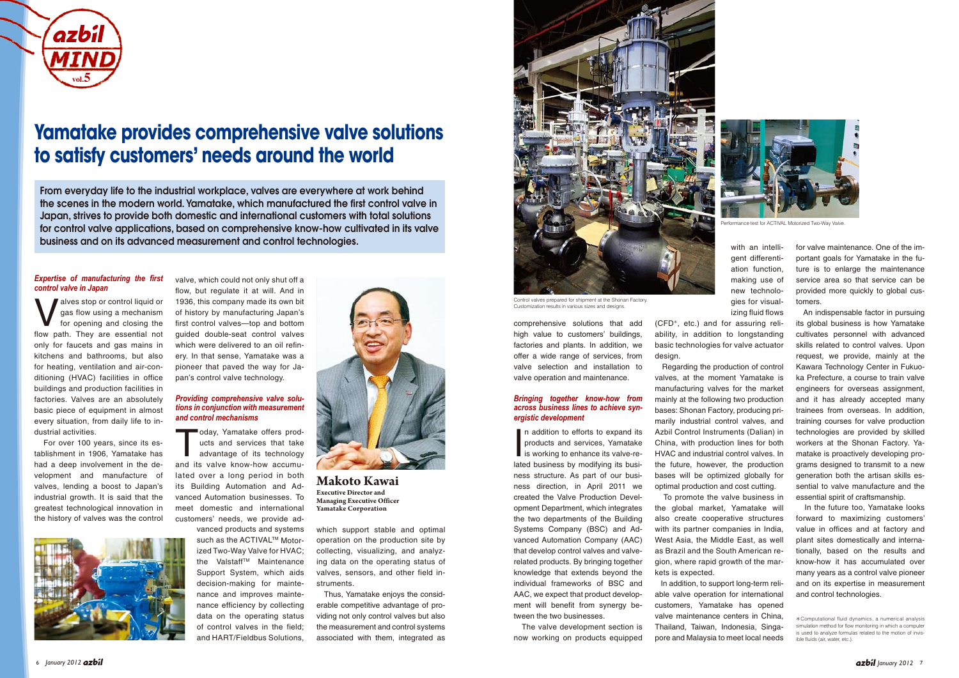for valve maintenance. One of the important goals for Yamatake in the future is to enlarge the maintenance service area so that service can be provided more quickly to global customers.

 An indispensable factor in pursuing its global business is how Yamatake cultivates personnel with advanced skills related to control valves. Upon request, we provide, mainly at the Kawara Technology Center in Fukuoka Prefecture, a course to train valve engineers for overseas assignment, and it has already accepted many trainees from overseas. In addition, training courses for valve production technologies are provided by skilled workers at the Shonan Factory. Yamatake is proactively developing programs designed to transmit to a new generation both the artisan skills essential to valve manufacture and the essential spirit of craftsmanship.

New stop or control liquid or<br>for opening and closing the<br>flow note. They are apportial not gas flow using a mechanism for opening and closing the flow path. They are essential not only for faucets and gas mains in kitchens and bathrooms, but also for heating, ventilation and air-conditioning (HVAC) facilities in office buildings and production facilities in factories. Valves are an absolutely basic piece of equipment in almost every situation, from daily life to industrial activities.

> In the future too, Yamatake looks forward to maximizing customers' value in offices and at factory and plant sites domestically and internationally, based on the results and know-how it has accumulated over many years as a control valve pioneer and on its expertise in measurement and control technologies.

## *Expertise of manufacturing the first control valve in Japan*

Today, Yamatake offers prod-<br>
ucts and services that take<br>
advantage of its technology<br>
and its uslue linew how assume ucts and services that take and its valve know-how accumulated over a long period in both its Building Automation and Advanced Automation businesses. To meet domestic and international

 For over 100 years, since its establishment in 1906, Yamatake has had a deep involvement in the development and manufacture of valves, lending a boost to Japan's industrial growth. It is said that the greatest technological innovation in the history of valves was the control



valve, which could not only shut off a flow, but regulate it at will. And in 1936, this company made its own bit of history by manufacturing Japan's first control valves—top and bottom guided double-seat control valves which were delivered to an oil refinery. In that sense, Yamatake was a pioneer that paved the way for Japan's control valve technology.

> In addition to efforts to expand its<br>products and services, Yamatake<br>is working to enhance its valve-re-<br>lated business by modifying its busin addition to efforts to expand its products and services, Yamatake is working to enhance its valve-reness structure. As part of our business direction, in April 2011 we created the Valve Production Development Department, which integrates the two departments of the Building Systems Company (BSC) and Advanced Automation Company (AAC) that develop control valves and valverelated products. By bringing together knowledge that extends beyond the individual frameworks of BSC and AAC, we expect that product development will benefit from synergy between the two businesses.

## *Providing comprehensive valve solutions in conjunction with measurement and control mechanisms*

customers' needs, we provide ad-

vanced products and systems such as the ACTIVAL™ Motorized Two-Way Valve for HVAC; the Valstaff™ Maintenance Support System, which aids decision-making for maintenance and improves maintenance efficiency by collecting data on the operating status of control valves in the field; and HART/Fieldbus Solutions,

which support stable and optimal operation on the production site by collecting, visualizing, and analyzing data on the operating status of valves, sensors, and other field instruments.

 Thus, Yamatake enjoys the considerable competitive advantage of providing not only control valves but also the measurement and control systems associated with them, integrated as comprehensive solutions that add high value to customers' buildings, factories and plants. In addition, we offer a wide range of services, from valve selection and installation to valve operation and maintenance.

## *Bringing together know-how from across business lines to achieve synergistic development*

 The valve development section is now working on products equipped gies for visualizing fluid flows

(CFD\*, etc.) and for assuring reliability, in addition to longstanding basic technologies for valve actuator design.

 Regarding the production of control valves, at the moment Yamatake is manufacturing valves for the market mainly at the following two production bases: Shonan Factory, producing primarily industrial control valves, and Azbil Control Instruments (Dalian) in China, with production lines for both HVAC and industrial control valves. In the future, however, the production bases will be optimized globally for optimal production and cost cutting.



Control valves prepared for shipment at the Shonan Factory. Customization results in various sizes and designs.

 To promote the valve business in the global market, Yamatake will also create cooperative structures with its partner companies in India, West Asia, the Middle East, as well as Brazil and the South American region, where rapid growth of the markets is expected.

 In addition, to support long-term reliable valve operation for international customers, Yamatake has opened valve maintenance centers in China, Thailand, Taiwan, Indonesia, Singapore and Malaysia to meet local needs



**Makoto Kawai Executive Director and Managing Executive Officer Yamatake Corporation**



## **Yamatake provides comprehensive valve solutions to satisfy customers' needs around the world**

From everyday life to the industrial workplace, valves are everywhere at work behind the scenes in the modern world. Yamatake, which manufactured the first control valve in Japan, strives to provide both domestic and international customers with total solutions for control valve applications, based on comprehensive know-how cultivated in its valve business and on its advanced measurement and control technologies.

<sup>\*</sup>Computational fluid dynamics, a numerical analysis simulation method for flow monitoring in which a compute is used to analyze formulas related to the motion of invisible fluids (air, water, etc.).